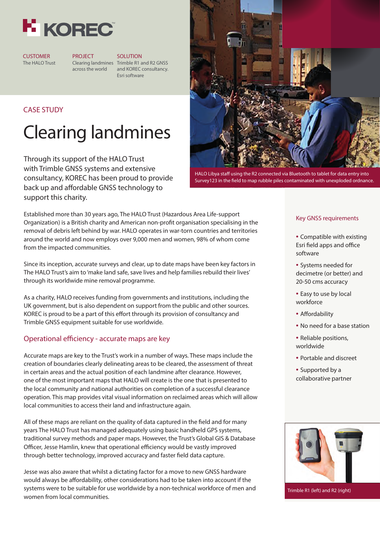

**CUSTOMER** The HALO Trust PROJECT SOLUTION

Clearing landmines Trimble R1 and R2 GNSS across the world and KOREC consultancy. Esri software

## CASE STUDY

# Clearing landmines

Through its support of the HALO Trust with Trimble GNSS systems and extensive consultancy, KOREC has been proud to provide back up and affordable GNSS technology to support this charity.



HALO Libya staff using the R2 connected via Bluetooth to tablet for data entry into Survey123 in the field to map rubble piles contaminated with unexploded ordnance.

Established more than 30 years ago, The HALO Trust (Hazardous Area Life-support Organization) is a British charity and American non-profit organisation specialising in the removal of debris left behind by war. HALO operates in war-torn countries and territories around the world and now employs over 9,000 men and women, 98% of whom come from the impacted communities.

Since its inception, accurate surveys and clear, up to date maps have been key factors in The HALO Trust's aim to 'make land safe, save lives and help families rebuild their lives' through its worldwide mine removal programme.

As a charity, HALO receives funding from governments and institutions, including the UK government, but is also dependent on support from the public and other sources. KOREC is proud to be a part of this effort through its provision of consultancy and Trimble GNSS equipment suitable for use worldwide.

#### Operational efficiency - accurate maps are key

Accurate maps are key to the Trust's work in a number of ways. These maps include the creation of boundaries clearly delineating areas to be cleared, the assessment of threat in certain areas and the actual position of each landmine after clearance. However, one of the most important maps that HALO will create is the one that is presented to the local community and national authorities on completion of a successful clearance operation. This map provides vital visual information on reclaimed areas which will allow local communities to access their land and infrastructure again.

All of these maps are reliant on the quality of data captured in the field and for many years The HALO Trust has managed adequately using basic handheld GPS systems, traditional survey methods and paper maps. However, the Trust's Global GIS & Database Officer, Jesse Hamlin, knew that operational efficiency would be vastly improved through better technology, improved accuracy and faster field data capture.

Jesse was also aware that whilst a dictating factor for a move to new GNSS hardware would always be affordability, other considerations had to be taken into account if the systems were to be suitable for use worldwide by a non-technical workforce of men and women from local communities.

#### Key GNSS requirements

- Compatible with existing Esri field apps and office software
- Systems needed for decimetre (or better) and 20-50 cms accuracy
- Easy to use by local workforce
- Affordability
- No need for a base station
- Reliable positions, worldwide
- Portable and discreet
- Supported by a collaborative partner



Trimble R1 (left) and R2 (right)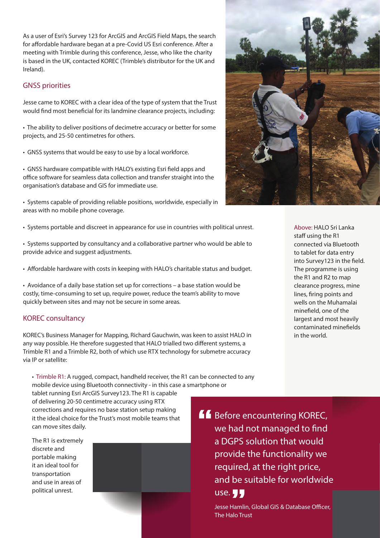As a user of Esri's Survey 123 for ArcGIS and ArcGIS Field Maps, the search for affordable hardware began at a pre-Covid US Esri conference. After a meeting with Trimble during this conference, Jesse, who like the charity is based in the UK, contacted KOREC (Trimble's distributor for the UK and Ireland).

#### GNSS priorities

Jesse came to KOREC with a clear idea of the type of system that the Trust would find most beneficial for its landmine clearance projects, including:

• The ability to deliver positions of decimetre accuracy or better for some projects, and 25-50 centimetres for others.

• GNSS systems that would be easy to use by a local workforce.

• GNSS hardware compatible with HALO's existing Esri field apps and office software for seamless data collection and transfer straight into the organisation's database and GIS for immediate use.

• Systems capable of providing reliable positions, worldwide, especially in areas with no mobile phone coverage.

- Systems portable and discreet in appearance for use in countries with political unrest.
- Systems supported by consultancy and a collaborative partner who would be able to provide advice and suggest adjustments.
- Affordable hardware with costs in keeping with HALO's charitable status and budget.

• Avoidance of a daily base station set up for corrections – a base station would be costly, time-consuming to set up, require power, reduce the team's ability to move quickly between sites and may not be secure in some areas.

#### KOREC consultancy

KOREC's Business Manager for Mapping, Richard Gauchwin, was keen to assist HALO in any way possible. He therefore suggested that HALO trialled two different systems, a Trimble R1 and a Trimble R2, both of which use RTX technology for submetre accuracy via IP or satellite:

• Trimble R1: A rugged, compact, handheld receiver, the R1 can be connected to any mobile device using Bluetooth connectivity - in this case a smartphone or

tablet running Esri ArcGIS Survey123. The R1 is capable of delivering 20-50 centimetre accuracy using RTX corrections and requires no base station setup making it the ideal choice for the Trust's most mobile teams that can move sites daily.

The R1 is extremely discrete and portable making it an ideal tool for transportation and use in areas of political unrest.





Above: HALO Sri Lanka staff using the R1 connected via Bluetooth to tablet for data entry into Survey123 in the field. The programme is using the R1 and R2 to map clearance progress, mine lines, firing points and wells on the Muhamalai mine field, one of the largest and most heavily contaminated minefields in the world.

**A Before encountering KOREC,** we had not managed to find a DGPS solution that would provide the functionality we required, at the right price, and be suitable for worldwide use.  $\P$  $\P$ 

> Jesse Hamlin, Global GIS & Database Officer, The Halo Trust